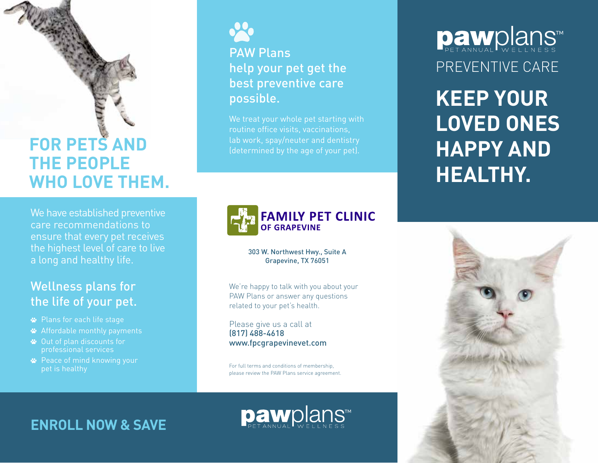# **FOR PETS AND THE PEOPLE WHO LOVE THEM.**

We have established preventive care recommendations to ensure that every pet receives the highest level of care to live a long and healthy life.

# Wellness plans for the life of your pet.

- Plans for each life stage
- Affordable monthly payments
- Out of plan discounts for professional services
- **<sup>■</sup>** Peace of mind knowing your pet is healthy



PAW Plans help your pet get the best preventive care possible.

We treat your whole pet starting with routine office visits, vaccinations, lab work, spay/neuter and dentistry



303 W. Northwest Hwy., Suite A Grapevine, TX 76051

We're happy to talk with you about your PAW Plans or answer any questions related to your pet's health.

Please give us a call at (817) 488-4618 www.fpcgrapevinevet.com

For full terms and conditions of membership, please review the PAW Plans service agreement.

pawplans™

PREVENTIVE CARE Dawplans

**KEEP YOUR LOVED ONES HAPPY AND HEALTHY.**



**ENROLL NOW & SAVE**